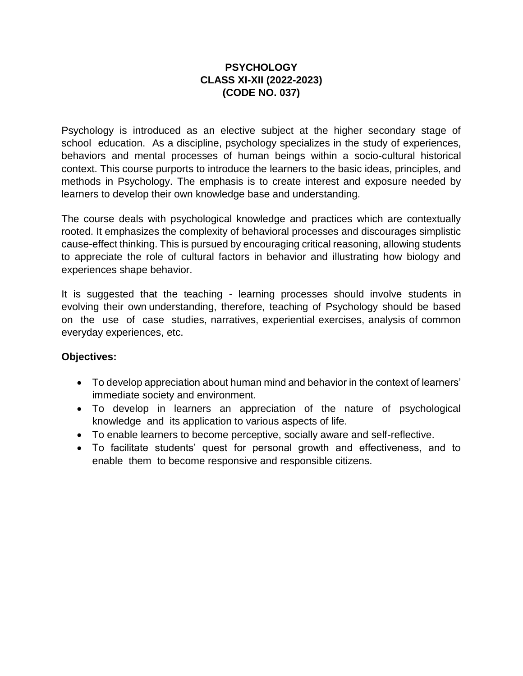#### **PSYCHOLOGY CLASS XI-XII (2022-2023) (CODE NO. 037)**

Psychology is introduced as an elective subject at the higher secondary stage of school education. As a discipline, psychology specializes in the study of experiences, behaviors and mental processes of human beings within a socio-cultural historical context. This course purports to introduce the learners to the basic ideas, principles, and methods in Psychology. The emphasis is to create interest and exposure needed by learners to develop their own knowledge base and understanding.

The course deals with psychological knowledge and practices which are contextually rooted. It emphasizes the complexity of behavioral processes and discourages simplistic cause-effect thinking. This is pursued by encouraging critical reasoning, allowing students to appreciate the role of cultural factors in behavior and illustrating how biology and experiences shape behavior.

It is suggested that the teaching - learning processes should involve students in evolving their own understanding, therefore, teaching of Psychology should be based on the use of case studies, narratives, experiential exercises, analysis of common everyday experiences, etc.

#### **Objectives:**

- To develop appreciation about human mind and behavior in the context of learners' immediate society and environment.
- To develop in learners an appreciation of the nature of psychological knowledge and its application to various aspects of life.
- To enable learners to become perceptive, socially aware and self-reflective.
- To facilitate students' quest for personal growth and effectiveness, and to enable them to become responsive and responsible citizens.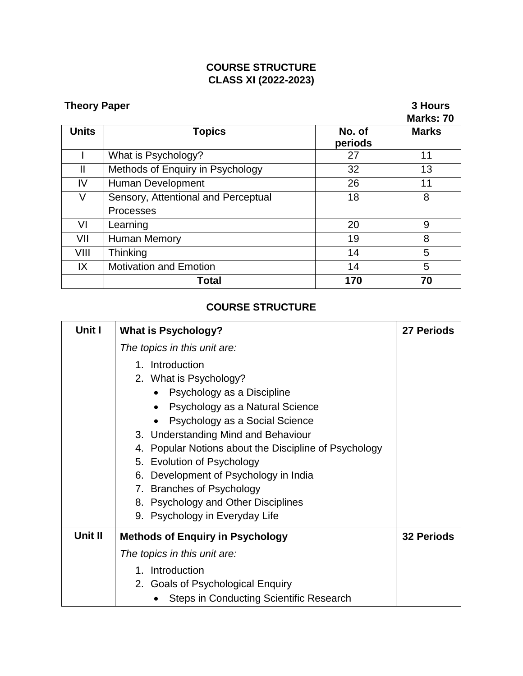## **COURSE STRUCTURE CLASS XI (2022-2023)**

# **Theory Paper** 3 Hours

# **Marks: 70**

|       |                                     |                   | <b>MAINS.</b> 17 |
|-------|-------------------------------------|-------------------|------------------|
| Units | <b>Topics</b>                       | No. of<br>periods | <b>Marks</b>     |
|       | What is Psychology?                 | 27                | 11               |
| Ш     | Methods of Enquiry in Psychology    | 32                | 13               |
| IV    | Human Development                   | 26                | 11               |
| V     | Sensory, Attentional and Perceptual | 18                | 8                |
|       | <b>Processes</b>                    |                   |                  |
| VI    | Learning                            | 20                | 9                |
| VII   | Human Memory                        | 19                | 8                |
| VIII  | Thinking                            | 14                | 5                |
| IX    | <b>Motivation and Emotion</b>       | 14                | 5                |
|       | Total                               | 170               | 70               |

# **COURSE STRUCTURE**

| Unit I  | <b>What is Psychology?</b>                            | 27 Periods        |
|---------|-------------------------------------------------------|-------------------|
|         | The topics in this unit are:                          |                   |
|         | 1. Introduction                                       |                   |
|         | 2. What is Psychology?                                |                   |
|         | Psychology as a Discipline                            |                   |
|         | Psychology as a Natural Science<br>$\bullet$          |                   |
|         | Psychology as a Social Science<br>$\bullet$           |                   |
|         | 3. Understanding Mind and Behaviour                   |                   |
|         | 4. Popular Notions about the Discipline of Psychology |                   |
|         | 5. Evolution of Psychology                            |                   |
|         | 6. Development of Psychology in India                 |                   |
|         | 7. Branches of Psychology                             |                   |
|         | 8. Psychology and Other Disciplines                   |                   |
|         | 9. Psychology in Everyday Life                        |                   |
| Unit II | <b>Methods of Enquiry in Psychology</b>               | <b>32 Periods</b> |
|         | The topics in this unit are:                          |                   |
|         | 1. Introduction                                       |                   |
|         | 2. Goals of Psychological Enquiry                     |                   |
|         | <b>Steps in Conducting Scientific Research</b>        |                   |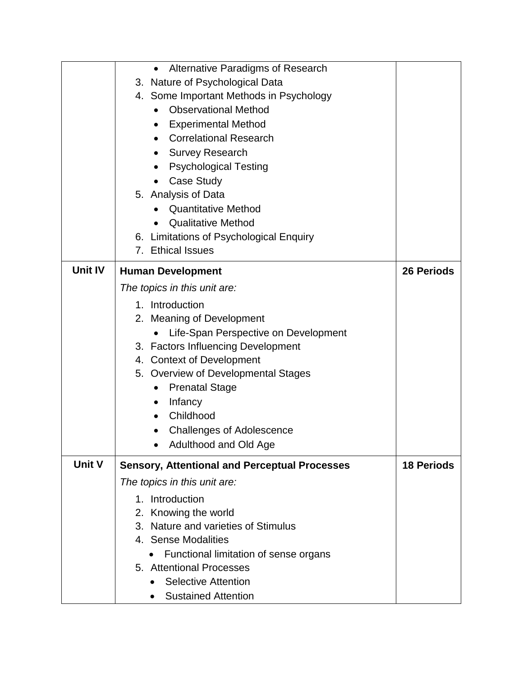|                | Alternative Paradigms of Research<br>$\bullet$       |                   |
|----------------|------------------------------------------------------|-------------------|
|                | 3. Nature of Psychological Data                      |                   |
|                | 4. Some Important Methods in Psychology              |                   |
|                | <b>Observational Method</b>                          |                   |
|                | <b>Experimental Method</b><br>$\bullet$              |                   |
|                | <b>Correlational Research</b>                        |                   |
|                | <b>Survey Research</b>                               |                   |
|                | <b>Psychological Testing</b>                         |                   |
|                | <b>Case Study</b>                                    |                   |
|                | 5. Analysis of Data                                  |                   |
|                | <b>Quantitative Method</b>                           |                   |
|                | <b>Qualitative Method</b>                            |                   |
|                | 6. Limitations of Psychological Enquiry              |                   |
|                | 7. Ethical Issues                                    |                   |
| <b>Unit IV</b> | <b>Human Development</b>                             | <b>26 Periods</b> |
|                |                                                      |                   |
|                | The topics in this unit are:                         |                   |
|                | 1. Introduction                                      |                   |
|                | 2. Meaning of Development                            |                   |
|                | Life-Span Perspective on Development                 |                   |
|                | 3. Factors Influencing Development                   |                   |
|                | 4. Context of Development                            |                   |
|                | 5. Overview of Developmental Stages                  |                   |
|                | <b>Prenatal Stage</b><br>$\bullet$                   |                   |
|                | Infancy<br>$\bullet$                                 |                   |
|                | Childhood                                            |                   |
|                | <b>Challenges of Adolescence</b>                     |                   |
|                | Adulthood and Old Age                                |                   |
| <b>Unit V</b>  | <b>Sensory, Attentional and Perceptual Processes</b> | <b>18 Periods</b> |
|                | The topics in this unit are:                         |                   |
|                | 1. Introduction                                      |                   |
|                | 2. Knowing the world                                 |                   |
|                | 3. Nature and varieties of Stimulus                  |                   |
|                | 4. Sense Modalities                                  |                   |
|                | Functional limitation of sense organs                |                   |
|                | 5. Attentional Processes                             |                   |
|                | <b>Selective Attention</b>                           |                   |
|                | <b>Sustained Attention</b>                           |                   |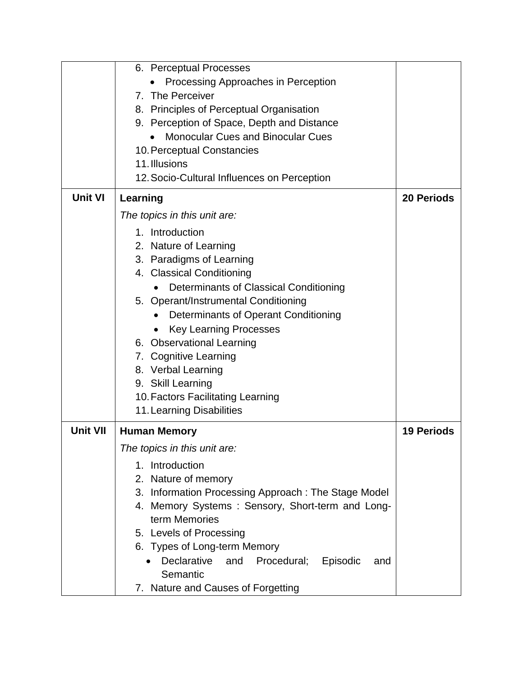|                 | 7. Nature and Causes of Forgetting                                     |                   |
|-----------------|------------------------------------------------------------------------|-------------------|
|                 | Declarative<br>Procedural;<br>and<br>Episodic<br>and<br>Semantic       |                   |
|                 | 6. Types of Long-term Memory                                           |                   |
|                 | 5. Levels of Processing                                                |                   |
|                 | term Memories                                                          |                   |
|                 | 4. Memory Systems: Sensory, Short-term and Long-                       |                   |
|                 | 3. Information Processing Approach: The Stage Model                    |                   |
|                 | 2. Nature of memory                                                    |                   |
|                 | 1. Introduction                                                        |                   |
|                 | The topics in this unit are:                                           |                   |
| <b>Unit VII</b> | <b>Human Memory</b>                                                    | <b>19 Periods</b> |
|                 | 11. Learning Disabilities                                              |                   |
|                 | 10. Factors Facilitating Learning                                      |                   |
|                 | 9. Skill Learning                                                      |                   |
|                 | 8. Verbal Learning                                                     |                   |
|                 | 6. Observational Learning<br>7. Cognitive Learning                     |                   |
|                 | <b>Key Learning Processes</b>                                          |                   |
|                 | Determinants of Operant Conditioning                                   |                   |
|                 | 5. Operant/Instrumental Conditioning                                   |                   |
|                 | Determinants of Classical Conditioning                                 |                   |
|                 | 4. Classical Conditioning                                              |                   |
|                 | 3. Paradigms of Learning                                               |                   |
|                 | 2. Nature of Learning                                                  |                   |
|                 | 1. Introduction                                                        |                   |
|                 | The topics in this unit are:                                           |                   |
| <b>Unit VI</b>  | Learning                                                               | <b>20 Periods</b> |
|                 | 12. Socio-Cultural Influences on Perception                            |                   |
|                 | 11. Illusions                                                          |                   |
|                 | <b>Monocular Cues and Binocular Cues</b><br>10. Perceptual Constancies |                   |
|                 | 9. Perception of Space, Depth and Distance                             |                   |
|                 | 8. Principles of Perceptual Organisation                               |                   |
|                 | 7. The Perceiver                                                       |                   |
|                 | Processing Approaches in Perception                                    |                   |
|                 | 6. Perceptual Processes                                                |                   |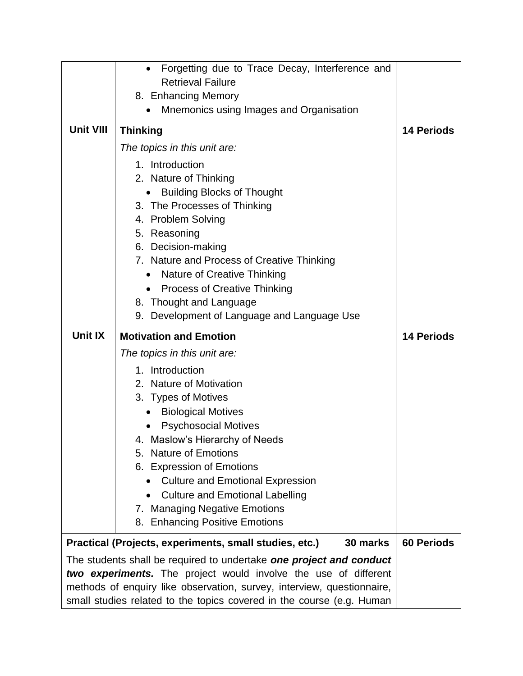|                                                                     | Forgetting due to Trace Decay, Interference and<br>$\bullet$           |                   |
|---------------------------------------------------------------------|------------------------------------------------------------------------|-------------------|
|                                                                     | <b>Retrieval Failure</b>                                               |                   |
|                                                                     | 8. Enhancing Memory                                                    |                   |
|                                                                     | Mnemonics using Images and Organisation<br>$\bullet$                   |                   |
| <b>Unit VIII</b>                                                    | <b>Thinking</b>                                                        | <b>14 Periods</b> |
|                                                                     | The topics in this unit are:                                           |                   |
|                                                                     | 1. Introduction                                                        |                   |
|                                                                     | 2. Nature of Thinking                                                  |                   |
|                                                                     | <b>Building Blocks of Thought</b>                                      |                   |
|                                                                     | 3. The Processes of Thinking                                           |                   |
|                                                                     | 4. Problem Solving                                                     |                   |
|                                                                     | 5. Reasoning                                                           |                   |
|                                                                     | 6. Decision-making                                                     |                   |
|                                                                     | 7. Nature and Process of Creative Thinking                             |                   |
|                                                                     | Nature of Creative Thinking<br>$\bullet$                               |                   |
|                                                                     | <b>Process of Creative Thinking</b><br>$\bullet$                       |                   |
|                                                                     | 8. Thought and Language                                                |                   |
|                                                                     | 9. Development of Language and Language Use                            |                   |
| Unit IX                                                             | <b>Motivation and Emotion</b>                                          | <b>14 Periods</b> |
|                                                                     | The topics in this unit are:                                           |                   |
|                                                                     | 1. Introduction                                                        |                   |
| 2. Nature of Motivation                                             |                                                                        |                   |
| 3. Types of Motives                                                 |                                                                        |                   |
|                                                                     | <b>Biological Motives</b>                                              |                   |
|                                                                     | <b>Psychosocial Motives</b>                                            |                   |
|                                                                     | 4. Maslow's Hierarchy of Needs                                         |                   |
|                                                                     | 5. Nature of Emotions                                                  |                   |
|                                                                     | 6. Expression of Emotions                                              |                   |
|                                                                     | <b>Culture and Emotional Expression</b>                                |                   |
|                                                                     | <b>Culture and Emotional Labelling</b>                                 |                   |
|                                                                     | 7. Managing Negative Emotions                                          |                   |
|                                                                     | 8. Enhancing Positive Emotions                                         |                   |
|                                                                     | Practical (Projects, experiments, small studies, etc.)<br>30 marks     | <b>60 Periods</b> |
| The students shall be required to undertake one project and conduct |                                                                        |                   |
| two experiments. The project would involve the use of different     |                                                                        |                   |
|                                                                     | methods of enquiry like observation, survey, interview, questionnaire, |                   |
|                                                                     | small studies related to the topics covered in the course (e.g. Human  |                   |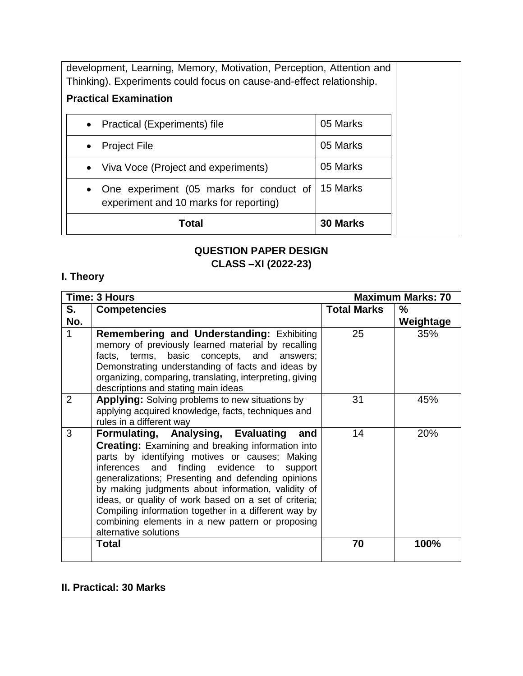| development, Learning, Memory, Motivation, Perception, Attention and<br>Thinking). Experiments could focus on cause-and-effect relationship. |          |  |
|----------------------------------------------------------------------------------------------------------------------------------------------|----------|--|
| <b>Practical Examination</b>                                                                                                                 |          |  |
| • Practical (Experiments) file                                                                                                               | 05 Marks |  |
| <b>Project File</b><br>$\bullet$                                                                                                             | 05 Marks |  |
| • Viva Voce (Project and experiments)                                                                                                        | 05 Marks |  |
| 15 Marks<br>One experiment (05 marks for conduct of<br>$\bullet$<br>experiment and 10 marks for reporting)                                   |          |  |
| 30 Marks<br>Total                                                                                                                            |          |  |

# **QUESTION PAPER DESIGN CLASS –XI (2022-23)**

# **I. Theory**

|                | Time: 3 Hours                                                                                                                                                                                                                                                                                                                                                                                                                                                                                                      | <b>Maximum Marks: 70</b> |           |
|----------------|--------------------------------------------------------------------------------------------------------------------------------------------------------------------------------------------------------------------------------------------------------------------------------------------------------------------------------------------------------------------------------------------------------------------------------------------------------------------------------------------------------------------|--------------------------|-----------|
| S.             | <b>Competencies</b>                                                                                                                                                                                                                                                                                                                                                                                                                                                                                                | <b>Total Marks</b>       | $\%$      |
| No.            |                                                                                                                                                                                                                                                                                                                                                                                                                                                                                                                    |                          | Weightage |
| 1              | <b>Remembering and Understanding: Exhibiting</b><br>memory of previously learned material by recalling<br>terms, basic concepts, and<br>facts,<br>answers;<br>Demonstrating understanding of facts and ideas by<br>organizing, comparing, translating, interpreting, giving<br>descriptions and stating main ideas                                                                                                                                                                                                 | 25                       | 35%       |
| $\overline{2}$ | <b>Applying:</b> Solving problems to new situations by<br>applying acquired knowledge, facts, techniques and<br>rules in a different way                                                                                                                                                                                                                                                                                                                                                                           | 31                       | 45%       |
| 3              | Formulating, Analysing, Evaluating<br>and<br><b>Creating:</b> Examining and breaking information into<br>parts by identifying motives or causes; Making<br>inferences and finding evidence to<br>support<br>generalizations; Presenting and defending opinions<br>by making judgments about information, validity of<br>ideas, or quality of work based on a set of criteria;<br>Compiling information together in a different way by<br>combining elements in a new pattern or proposing<br>alternative solutions | 14                       | 20%       |
|                | <b>Total</b>                                                                                                                                                                                                                                                                                                                                                                                                                                                                                                       | 70                       | 100%      |

## **II. Practical: 30 Marks**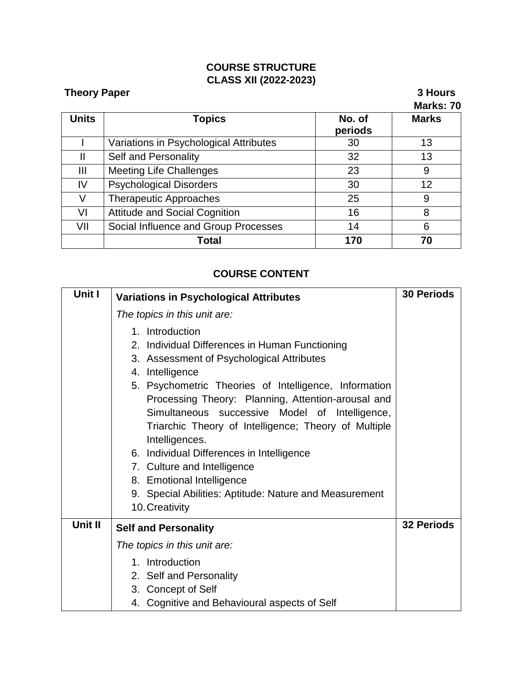## **COURSE STRUCTURE CLASS XII (2022-2023)**

| <b>Theory Paper</b> |                                        |                   | 3 Hours<br>Marks: 70 |
|---------------------|----------------------------------------|-------------------|----------------------|
| <b>Units</b>        | <b>Topics</b>                          | No. of<br>periods | <b>Marks</b>         |
|                     | Variations in Psychological Attributes | 30                | 13                   |
| Ш                   | Self and Personality                   | 32                | 13                   |
| Ш                   | <b>Meeting Life Challenges</b>         | 23                | 9                    |
| IV                  | <b>Psychological Disorders</b>         | 30                | 12                   |
| V                   | <b>Therapeutic Approaches</b>          | 25                | 9                    |
| VI                  | <b>Attitude and Social Cognition</b>   | 16                | 8                    |
| VII                 | Social Influence and Group Processes   | 14                | 6                    |
|                     | Total                                  | 170               | 70                   |

## **COURSE CONTENT**

| Unit I  | <b>Variations in Psychological Attributes</b>                                                                                                                                                                                                                                                                                                                                                                                                                                                                                                                     | <b>30 Periods</b> |
|---------|-------------------------------------------------------------------------------------------------------------------------------------------------------------------------------------------------------------------------------------------------------------------------------------------------------------------------------------------------------------------------------------------------------------------------------------------------------------------------------------------------------------------------------------------------------------------|-------------------|
|         | The topics in this unit are:                                                                                                                                                                                                                                                                                                                                                                                                                                                                                                                                      |                   |
|         | 1. Introduction<br>2. Individual Differences in Human Functioning<br>3. Assessment of Psychological Attributes<br>4. Intelligence<br>5. Psychometric Theories of Intelligence, Information<br>Processing Theory: Planning, Attention-arousal and<br>Simultaneous successive Model of Intelligence,<br>Triarchic Theory of Intelligence; Theory of Multiple<br>Intelligences.<br>6. Individual Differences in Intelligence<br>7. Culture and Intelligence<br>8. Emotional Intelligence<br>9. Special Abilities: Aptitude: Nature and Measurement<br>10. Creativity |                   |
| Unit II | <b>Self and Personality</b>                                                                                                                                                                                                                                                                                                                                                                                                                                                                                                                                       | <b>32 Periods</b> |
|         | The topics in this unit are:                                                                                                                                                                                                                                                                                                                                                                                                                                                                                                                                      |                   |
|         | 1. Introduction<br>2. Self and Personality<br>3. Concept of Self<br>4. Cognitive and Behavioural aspects of Self                                                                                                                                                                                                                                                                                                                                                                                                                                                  |                   |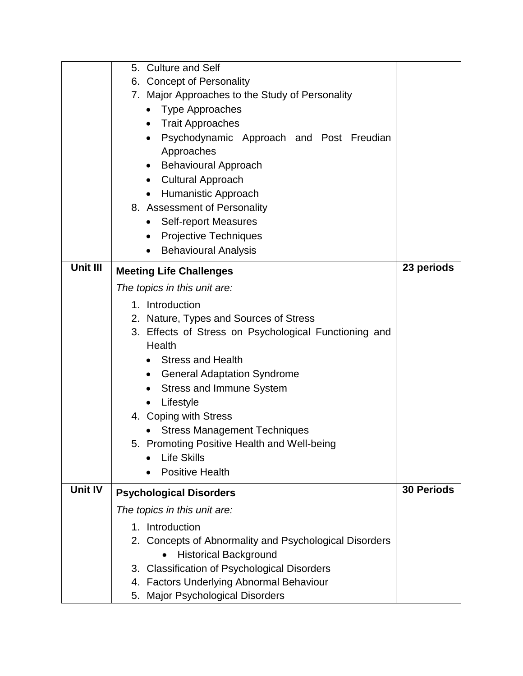|                | 5. Culture and Self                                    |                   |  |
|----------------|--------------------------------------------------------|-------------------|--|
|                | 6. Concept of Personality                              |                   |  |
|                | 7. Major Approaches to the Study of Personality        |                   |  |
|                | • Type Approaches                                      |                   |  |
|                | Trait Approaches<br>$\bullet$                          |                   |  |
|                | Psychodynamic Approach and Post Freudian<br>$\bullet$  |                   |  |
|                | Approaches                                             |                   |  |
|                | <b>Behavioural Approach</b>                            |                   |  |
|                | <b>Cultural Approach</b>                               |                   |  |
|                | Humanistic Approach                                    |                   |  |
|                | 8. Assessment of Personality                           |                   |  |
|                | <b>Self-report Measures</b><br>$\bullet$               |                   |  |
|                | Projective Techniques                                  |                   |  |
|                | <b>Behavioural Analysis</b><br>$\bullet$               |                   |  |
| Unit III       |                                                        | 23 periods        |  |
|                | <b>Meeting Life Challenges</b>                         |                   |  |
|                | The topics in this unit are:                           |                   |  |
|                | 1. Introduction                                        |                   |  |
|                | 2. Nature, Types and Sources of Stress                 |                   |  |
|                | 3. Effects of Stress on Psychological Functioning and  |                   |  |
|                | Health                                                 |                   |  |
|                | <b>Stress and Health</b>                               |                   |  |
|                | <b>General Adaptation Syndrome</b><br>$\bullet$        |                   |  |
|                | <b>Stress and Immune System</b>                        |                   |  |
|                | Lifestyle<br>$\bullet$                                 |                   |  |
|                | 4. Coping with Stress                                  |                   |  |
|                | <b>Stress Management Techniques</b>                    |                   |  |
|                | <b>Promoting Positive Health and Well-being</b><br>5.  |                   |  |
|                | <b>Life Skills</b>                                     |                   |  |
|                | <b>Positive Health</b>                                 |                   |  |
| <b>Unit IV</b> | <b>Psychological Disorders</b>                         | <b>30 Periods</b> |  |
|                | The topics in this unit are:                           |                   |  |
|                | 1. Introduction                                        |                   |  |
|                | 2. Concepts of Abnormality and Psychological Disorders |                   |  |
|                | <b>Historical Background</b>                           |                   |  |
|                | 3. Classification of Psychological Disorders           |                   |  |
|                | 4. Factors Underlying Abnormal Behaviour               |                   |  |
|                | 5. Major Psychological Disorders                       |                   |  |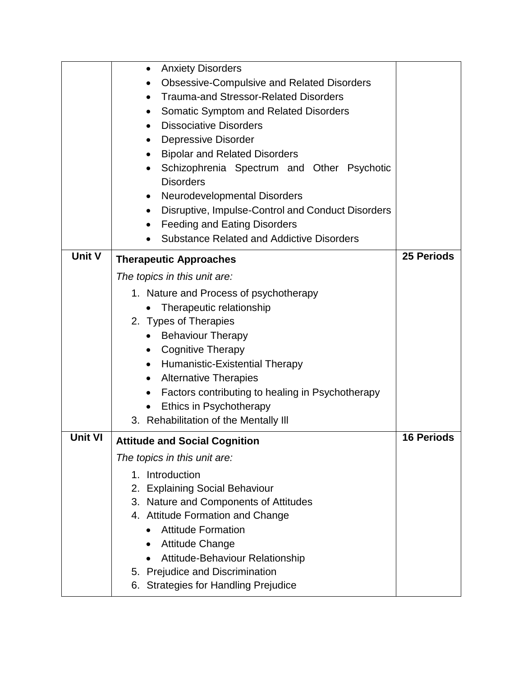|                | <b>Anxiety Disorders</b><br>$\bullet$                          |                   |
|----------------|----------------------------------------------------------------|-------------------|
|                | <b>Obsessive-Compulsive and Related Disorders</b>              |                   |
|                | <b>Trauma-and Stressor-Related Disorders</b>                   |                   |
|                | <b>Somatic Symptom and Related Disorders</b><br>$\bullet$      |                   |
|                | <b>Dissociative Disorders</b>                                  |                   |
|                | <b>Depressive Disorder</b>                                     |                   |
|                | <b>Bipolar and Related Disorders</b><br>٠                      |                   |
|                | Schizophrenia Spectrum and Other Psychotic                     |                   |
|                | <b>Disorders</b>                                               |                   |
|                | Neurodevelopmental Disorders                                   |                   |
|                | Disruptive, Impulse-Control and Conduct Disorders<br>$\bullet$ |                   |
|                | <b>Feeding and Eating Disorders</b><br>$\bullet$               |                   |
|                | <b>Substance Related and Addictive Disorders</b>               |                   |
| Unit V         | <b>Therapeutic Approaches</b>                                  | 25 Periods        |
|                | The topics in this unit are:                                   |                   |
|                | 1. Nature and Process of psychotherapy                         |                   |
|                | Therapeutic relationship                                       |                   |
|                | 2. Types of Therapies                                          |                   |
|                | <b>Behaviour Therapy</b>                                       |                   |
|                | <b>Cognitive Therapy</b><br>$\bullet$                          |                   |
|                | Humanistic-Existential Therapy                                 |                   |
|                | <b>Alternative Therapies</b><br>$\bullet$                      |                   |
|                | Factors contributing to healing in Psychotherapy<br>$\bullet$  |                   |
|                | Ethics in Psychotherapy<br>$\bullet$                           |                   |
|                | 3. Rehabilitation of the Mentally III                          |                   |
| <b>Unit VI</b> | <b>Attitude and Social Cognition</b>                           | <b>16 Periods</b> |
|                | The topics in this unit are:                                   |                   |
|                | 1. Introduction                                                |                   |
|                | 2. Explaining Social Behaviour                                 |                   |
|                | 3. Nature and Components of Attitudes                          |                   |
|                | 4. Attitude Formation and Change                               |                   |
|                | <b>Attitude Formation</b><br>$\bullet$                         |                   |
|                | <b>Attitude Change</b>                                         |                   |
|                | Attitude-Behaviour Relationship                                |                   |
|                | 5. Prejudice and Discrimination                                |                   |
|                | 6. Strategies for Handling Prejudice                           |                   |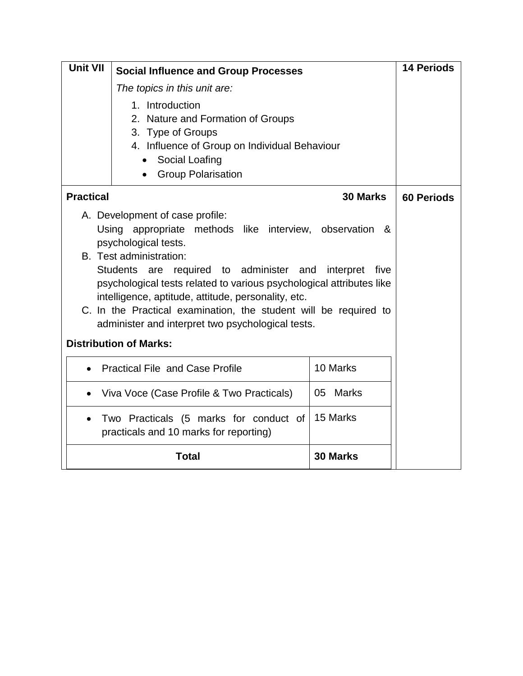| Unit VII                                                                                                                                                                                                                                                                                                                                                                                                                                                                                                  | <b>Social Influence and Group Processes</b>                                                                                                                                            |             | <b>14 Periods</b> |
|-----------------------------------------------------------------------------------------------------------------------------------------------------------------------------------------------------------------------------------------------------------------------------------------------------------------------------------------------------------------------------------------------------------------------------------------------------------------------------------------------------------|----------------------------------------------------------------------------------------------------------------------------------------------------------------------------------------|-------------|-------------------|
|                                                                                                                                                                                                                                                                                                                                                                                                                                                                                                           | The topics in this unit are:                                                                                                                                                           |             |                   |
|                                                                                                                                                                                                                                                                                                                                                                                                                                                                                                           | 1. Introduction<br>2. Nature and Formation of Groups<br>3. Type of Groups<br>4. Influence of Group on Individual Behaviour<br>Social Loafing<br><b>Group Polarisation</b><br>$\bullet$ |             |                   |
| <b>Practical</b>                                                                                                                                                                                                                                                                                                                                                                                                                                                                                          |                                                                                                                                                                                        | 30 Marks    | <b>60 Periods</b> |
| A. Development of case profile:<br>Using appropriate methods like interview, observation<br>&<br>psychological tests.<br>B. Test administration:<br>Students are required to administer and<br>interpret<br>five<br>psychological tests related to various psychological attributes like<br>intelligence, aptitude, attitude, personality, etc.<br>C. In the Practical examination, the student will be required to<br>administer and interpret two psychological tests.<br><b>Distribution of Marks:</b> |                                                                                                                                                                                        |             |                   |
|                                                                                                                                                                                                                                                                                                                                                                                                                                                                                                           | <b>Practical File and Case Profile</b>                                                                                                                                                 | 10 Marks    |                   |
| $\bullet$                                                                                                                                                                                                                                                                                                                                                                                                                                                                                                 | Viva Voce (Case Profile & Two Practicals)                                                                                                                                              | Marks<br>05 |                   |
|                                                                                                                                                                                                                                                                                                                                                                                                                                                                                                           | Two Practicals (5 marks for conduct of<br>practicals and 10 marks for reporting)                                                                                                       | 15 Marks    |                   |
|                                                                                                                                                                                                                                                                                                                                                                                                                                                                                                           | <b>Total</b>                                                                                                                                                                           | 30 Marks    |                   |